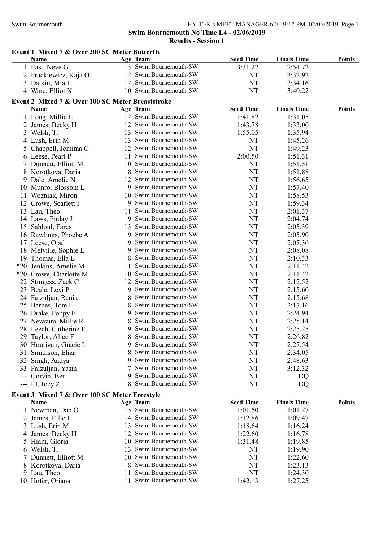### Swim Bournemouth **HY-TEK's MEET MANAGER 6.0 - 9:17 PM 02/06/2019** Page 1 Swim Bournemouth No Time L4 - 02/06/2019 Results - Session 1

### Event 1 Mixed 7 & Over 200 SC Meter Butterfly Name Team Age Team Seed Time Finals Time Points 1 East, Neve G 13 Swim Bournemouth-SW 3:31.22 2:54.72 2 Frackiewicz, Kaja O 12 Swim Bournemouth-SW NT 3:32.92 3 Dalkin, Mia L 12 Swim Bournemouth-SW NT 3:34.16 4 Ware, Elliot X 10 Swim Bournemouth-SW NT 3:40.22 Event 2 Mixed 7 & Over 100 SC Meter Breaststroke Name Team Age Team Seed Time Finals Time Points 1 Long, Millie L 12 Swim Bournemouth-SW 1:41.82 1:31.05 2 James, Becky H 12 Swim Bournemouth-SW 1:43.78 1:33.00 3 Welsh, TJ 13 Swim Bournemouth-SW 1:55.05 1:35.94 4 Lush, Erin M 13 Swim Bournemouth-SW NT 1:45.26 5 Chappell, Jemima C 12 Swim Bournemouth-SW NT 1:49.23 6 Leese, Pearl P 11 Swim Bournemouth-SW 2:00.50 1:51.31 7 Dunnett, Elliott M 10 Swim Bournemouth-SW NT 1:51.51 8 Korotkova, Daria 8 Swim Bournemouth-SW NT 1:51.88 9 Dale, Amelie N 12 Swim Bournemouth-SW NT 1:56.65 10 Munro, Blossom L 9 Swim Bournemouth-SW NT 1:57.40 11 Wozniak, Miron 10 Swim Bournemouth-SW NT 1:58.53<br>12 Crowe Scarlett I 9 Swim Bournemouth-SW NT 1:59.34 12 Crowe, Scarlett I 9 Swim Bournemouth-SW NT 1:59.34 13 Lau, Theo 11 Swim Bournemouth-SW NT 2:01.37 14 Laws, Finlay J 9 Swim Bournemouth-SW NT 2:04.74 15 Sahloul, Fares 13 Swim Bournemouth-SW NT 2:05.39 16 Rawlings, Phoebe A 9 Swim Bournemouth-SW NT 2:05.90 17 Leese, Opal 9 Swim Bournemouth-SW NT 2:07.36 18 Melville, Sophie L 9 Swim Bournemouth-SW NT 2:08.08 19 Thomas, Ella L 8 Swim Bournemouth-SW NT 2:10.33<br>
20 Jenkins Amelie M 11 Swim Bournemouth-SW NT 2:11 42 \*20 Jenkins, Amelie M 11 Swim Bournemouth-SW NT 2:11.42 \*20 Crowe, Charlotte M 10 Swim Bournemouth-SW NT 2:11.42 22 Sturgess, Zack C 12 Swim Bournemouth-SW NT 2:12.52 23 Beale, Lexi P 9 Swim Bournemouth-SW NT 2:15.60 24 Faizulian, Rania 8 8 8 8 8 8 8 8 8 8 8 9 1 1 2:15.68 25 Barnes, Tom L 8 Swim Bournemouth-SW NT 2:17.16 26 Drake, Poppy F 9 Swim Bournemouth-SW NT 2:24.94<br>27 Newsum, Millie R 8 Swim Bournemouth-SW NT 2:25.14 27 Newsum, Millie R 8 Swim Bournemouth-SW NT 2:25.14 28 Leech, Catherine F 9 Swim Bournemouth-SW NT 2:25.25 29 Taylor, Alice F 8 Swim Bournemouth-SW NT 2:26.82 30 Hourigan, Gracie L 9 Swim Bournemouth-SW NT 2:27.54 31 Smithson, Eliza 8 Swim Bournemouth-SW NT 2:34.05 32 Singh, Aadya 9 Swim Bournemouth-SW NT 2:48.63 33 Faizuljan, Yasin 7 Swim Bournemouth-SW NT 3:12.32 --- Gorvin, Ben 9 Swim Bournemouth-SW NT DQ --- LI, Joey Z 8 Swim Bournemouth-SW NT DQ Event 3 Mixed 7 & Over 100 SC Meter Freestyle Name Age Team Age Team Seed Time Finals Time Points 1 Newman, Dan O 15 Swim Bournemouth-SW 1:01.60 1:01.27 2 James, Ellie L 14 Swim Bournemouth-SW 1:12.86 1:09.47 3 Lush, Erin M 13 Swim Bournemouth-SW 1:18.64 1:16.24 4 James, Becky H 12 Swim Bournemouth-SW 1:22.60 1:16.78 5 Hiam, Gloria 10 Swim Bournemouth-SW 1:31.48 1:19.85

 Welsh, TJ 13 Swim Bournemouth-SW NT 1:19.90 Dunnett, Elliott M 10 Swim Bournemouth-SW NT 1:22.60 8 Korotkova, Daria 8 Swim Bournemouth-SW NT 1:23.13 Lau, Theo 11 Swim Bournemouth-SW NT 1:24.30 Hofer, Oriana 11 Swim Bournemouth-SW 1:42.13 1:27.25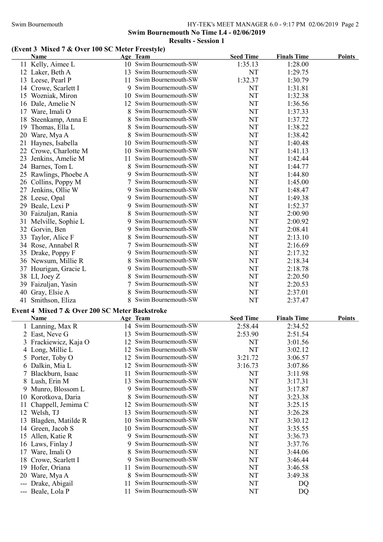### Swim Bournemouth HY-TEK's MEET MANAGER 6.0 - 9:17 PM 02/06/2019 Page 2 Swim Bournemouth No Time L4 - 02/06/2019 Results - Session 1

# (Event 3 Mixed 7 & Over 100 SC Meter Freestyle)

|    | Name                  |    | Age Team               | <b>Seed Time</b> | <b>Finals Time</b> | <b>Points</b> |
|----|-----------------------|----|------------------------|------------------|--------------------|---------------|
|    | 11 Kelly, Aimee L     |    | 10 Swim Bournemouth-SW | 1:35.13          | 1:28.00            |               |
|    | 12 Laker, Beth A      | 13 | Swim Bournemouth-SW    | NT               | 1:29.75            |               |
|    | 13 Leese, Pearl P     | 11 | Swim Bournemouth-SW    | 1:32.37          | 1:30.79            |               |
| 14 | Crowe, Scarlett I     | 9  | Swim Bournemouth-SW    | NT               | 1:31.81            |               |
| 15 | Wozniak, Miron        | 10 | Swim Bournemouth-SW    | NT               | 1:32.38            |               |
|    | 16 Dale, Amelie N     | 12 | Swim Bournemouth-SW    | NT               | 1:36.56            |               |
| 17 | Ware, Imali O         | 8  | Swim Bournemouth-SW    | NT               | 1:37.33            |               |
| 18 | Steenkamp, Anna E     | 8  | Swim Bournemouth-SW    | NT               | 1:37.72            |               |
| 19 | Thomas, Ella L        | 8  | Swim Bournemouth-SW    | NT               | 1:38.22            |               |
| 20 | Ware, Mya A           |    | Swim Bournemouth-SW    | NT               | 1:38.42            |               |
| 21 | Haynes, Isabella      | 10 | Swim Bournemouth-SW    | NT               | 1:40.48            |               |
| 22 | Crowe, Charlotte M    | 10 | Swim Bournemouth-SW    | NT               | 1:41.13            |               |
| 23 | Jenkins, Amelie M     | 11 | Swim Bournemouth-SW    | NT               | 1:42.44            |               |
|    | 24 Barnes, Tom L      | 8  | Swim Bournemouth-SW    | NT               | 1:44.77            |               |
| 25 | Rawlings, Phoebe A    | 9  | Swim Bournemouth-SW    | NT               | 1:44.80            |               |
| 26 | Collins, Poppy M      |    | Swim Bournemouth-SW    | NT               | 1:45.00            |               |
| 27 | Jenkins, Ollie W      | 9  | Swim Bournemouth-SW    | NT               | 1:48.47            |               |
|    | 28 Leese, Opal        | 9  | Swim Bournemouth-SW    | NT               | 1:49.38            |               |
| 29 | Beale, Lexi P         | 9  | Swim Bournemouth-SW    | NT               | 1:52.37            |               |
|    | 30 Faizuljan, Rania   | 8  | Swim Bournemouth-SW    | NT               | 2:00.90            |               |
| 31 | Melville, Sophie L    | 9  | Swim Bournemouth-SW    | NT               | 2:00.92            |               |
| 32 | Gorvin, Ben           | 9  | Swim Bournemouth-SW    | NT               | 2:08.41            |               |
| 33 | Taylor, Alice F       |    | Swim Bournemouth-SW    | NT               | 2:13.10            |               |
|    | 34 Rose, Annabel R    |    | Swim Bournemouth-SW    | NT               | 2:16.69            |               |
|    | 35 Drake, Poppy F     | 9  | Swim Bournemouth-SW    | NT               | 2:17.32            |               |
|    | 36 Newsum, Millie R   | 8  | Swim Bournemouth-SW    | NT               | 2:18.34            |               |
|    | 37 Hourigan, Gracie L | 9  | Swim Bournemouth-SW    | NT               | 2:18.78            |               |
|    | 38 LI, Joey Z         |    | Swim Bournemouth-SW    | NT               | 2:20.50            |               |
| 39 | Faizuljan, Yasin      |    | Swim Bournemouth-SW    | NT               | 2:20.53            |               |
| 40 | Gray, Elsie A         |    | Swim Bournemouth-SW    | NT               | 2:37.01            |               |
| 41 | Smithson, Eliza       |    | Swim Bournemouth-SW    | NT               | 2:37.47            |               |

## Event 4 Mixed 7 & Over 200 SC Meter Backstroke

 $\overline{a}$ 

|       | Name                  |    | Age Team               | <b>Seed Time</b> | <b>Finals Time</b> | <b>Points</b> |
|-------|-----------------------|----|------------------------|------------------|--------------------|---------------|
|       | 1 Lanning, Max R      |    | 14 Swim Bournemouth-SW | 2:58.44          | 2:34.52            |               |
|       | 2 East, Neve G        | 13 | Swim Bournemouth-SW    | 2:53.90          | 2:51.54            |               |
|       | 3 Frackiewicz, Kaja O | 12 | Swim Bournemouth-SW    | NT               | 3:01.56            |               |
|       | 4 Long, Millie L      | 12 | Swim Bournemouth-SW    | NT               | 3:02.12            |               |
|       | 5 Porter, Toby O      | 12 | Swim Bournemouth-SW    | 3:21.72          | 3:06.57            |               |
|       | 6 Dalkin, Mia L       | 12 | Swim Bournemouth-SW    | 3:16.73          | 3:07.86            |               |
|       | 7 Blackburn, Isaac    | 11 | Swim Bournemouth-SW    | NT               | 3:11.98            |               |
|       | 8 Lush, Erin M        | 13 | Swim Bournemouth-SW    | NT               | 3:17.31            |               |
|       | 9 Munro, Blossom L    | 9  | Swim Bournemouth-SW    | NT               | 3:17.87            |               |
|       | 10 Korotkova, Daria   | 8  | Swim Bournemouth-SW    | NT               | 3:23.38            |               |
|       | 11 Chappell, Jemima C | 12 | Swim Bournemouth-SW    | NT               | 3:25.15            |               |
|       | 12 Welsh, TJ          | 13 | Swim Bournemouth-SW    | NT               | 3:26.28            |               |
|       | Blagden, Matilde R    | 10 | Swim Bournemouth-SW    | NT               | 3:30.12            |               |
|       | 14 Green, Jacob S     | 10 | Swim Bournemouth-SW    | NT               | 3:35.55            |               |
| 15    | Allen, Katie R        | 9  | Swim Bournemouth-SW    | NT               | 3:36.73            |               |
|       | 16 Laws, Finlay J     | 9  | Swim Bournemouth-SW    | NT               | 3:37.76            |               |
|       | 17 Ware, Imali O      | 8  | Swim Bournemouth-SW    | NT               | 3:44.06            |               |
| 18    | Crowe, Scarlett I     | 9  | Swim Bournemouth-SW    | NT               | 3:46.44            |               |
|       | 19 Hofer, Oriana      | 11 | Swim Bournemouth-SW    | NT               | 3:46.58            |               |
|       | 20 Ware, Mya A        |    | Swim Bournemouth-SW    | NT               | 3:49.38            |               |
| $---$ | Drake, Abigail        | 11 | Swim Bournemouth-SW    | NT               | DQ                 |               |
|       | --- Beale, Lola P     | 11 | Swim Bournemouth-SW    | NT               | DQ                 |               |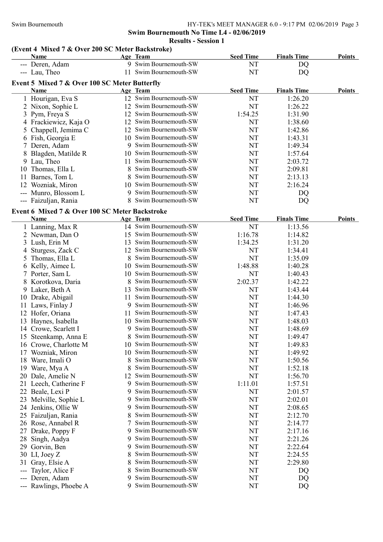### Swim Bournemouth HY-TEK's MEET MANAGER 6.0 - 9:17 PM 02/06/2019 Page 3 Swim Bournemouth No Time L4 - 02/06/2019 Results - Session 1

# (Event 4 Mixed 7 & Over 200 SC Meter Backstroke)

|     | $\mu$ and $\mu$ in $\mu$ and $\mu$ and $\mu$ and $\mu$ and $\mu$ and $\mu$ |    |                        |                  |                    |               |
|-----|----------------------------------------------------------------------------|----|------------------------|------------------|--------------------|---------------|
|     | Name                                                                       |    | Age Team               | <b>Seed Time</b> | <b>Finals Time</b> | <b>Points</b> |
|     | --- Deren, Adam                                                            |    | 9 Swim Bournemouth-SW  | NT               | DQ                 |               |
|     | --- Lau, Theo                                                              |    | 11 Swim Bournemouth-SW | NT               | DQ                 |               |
|     | Event 5 Mixed 7 & Over 100 SC Meter Butterfly                              |    |                        |                  |                    |               |
|     | Name                                                                       |    | Age Team               | <b>Seed Time</b> | <b>Finals Time</b> | <b>Points</b> |
|     | 1 Hourigan, Eva S                                                          |    | 12 Swim Bournemouth-SW | NT               | 1:26.20            |               |
|     | 2 Nixon, Sophie L                                                          |    | 12 Swim Bournemouth-SW | <b>NT</b>        | 1:26.22            |               |
|     | 3 Pym, Freya S                                                             |    | 12 Swim Bournemouth-SW | 1:54.25          | 1:31.90            |               |
|     | 4 Frackiewicz, Kaja O                                                      |    | 12 Swim Bournemouth-SW | NT               | 1:38.60            |               |
| 5   | Chappell, Jemima C                                                         |    | 12 Swim Bournemouth-SW | NT               | 1:42.86            |               |
|     | 6 Fish, Georgia E                                                          |    | 10 Swim Bournemouth-SW | NT               | 1:43.31            |               |
|     | 7 Deren, Adam                                                              |    | 9 Swim Bournemouth-SW  | NT               | 1:49.34            |               |
|     | Blagden, Matilde R                                                         | 10 | Swim Bournemouth-SW    | NT               | 1:57.64            |               |
|     | 9 Lau, Theo                                                                | 11 | Swim Bournemouth-SW    | NT               | 2:03.72            |               |
| 10  | Thomas, Ella L                                                             | 8  | Swim Bournemouth-SW    | NT               | 2:09.81            |               |
|     | 11 Barnes, Tom L                                                           | 8  | Swim Bournemouth-SW    | NT               | 2:13.13            |               |
|     | 12 Wozniak, Miron                                                          | 10 | Swim Bournemouth-SW    | NT               | 2:16.24            |               |
|     | --- Munro, Blossom L                                                       | 9  | Swim Bournemouth-SW    | NT               | DQ                 |               |
|     | --- Faizuljan, Rania                                                       |    | 8 Swim Bournemouth-SW  | NT               | DQ                 |               |
|     |                                                                            |    |                        |                  |                    |               |
|     | Event 6 Mixed 7 & Over 100 SC Meter Backstroke                             |    |                        |                  |                    |               |
|     | <b>Name</b>                                                                |    | Age Team               | <b>Seed Time</b> | <b>Finals Time</b> | <b>Points</b> |
|     | 1 Lanning, Max R                                                           |    | 14 Swim Bournemouth-SW | <b>NT</b>        | 1:13.56            |               |
|     | 2 Newman, Dan O                                                            |    | 15 Swim Bournemouth-SW | 1:16.78          | 1:14.82            |               |
|     | 3 Lush, Erin M                                                             |    | 13 Swim Bournemouth-SW | 1:34.25          | 1:31.20            |               |
|     | 4 Sturgess, Zack C                                                         |    | 12 Swim Bournemouth-SW | NT               | 1:34.41            |               |
|     | 5 Thomas, Ella L                                                           | 8  | Swim Bournemouth-SW    | <b>NT</b>        | 1:35.09            |               |
|     | 6 Kelly, Aimee L                                                           |    | 10 Swim Bournemouth-SW | 1:48.88          | 1:40.28            |               |
|     | 7 Porter, Sam L                                                            |    | 10 Swim Bournemouth-SW | <b>NT</b>        | 1:40.43            |               |
| 8   | Korotkova, Daria                                                           | 8  | Swim Bournemouth-SW    | 2:02.37          | 1:42.22            |               |
|     | 9 Laker, Beth A                                                            | 13 | Swim Bournemouth-SW    | NT               | 1:43.44            |               |
|     | 10 Drake, Abigail                                                          | 11 | Swim Bournemouth-SW    | NT               | 1:44.30            |               |
|     | 11 Laws, Finlay J                                                          | 9  | Swim Bournemouth-SW    | NT               | 1:46.96            |               |
|     | 12 Hofer, Oriana                                                           | 11 | Swim Bournemouth-SW    | NT               | 1:47.43            |               |
|     | 13 Haynes, Isabella                                                        |    | 10 Swim Bournemouth-SW | NT               | 1:48.03            |               |
|     | 14 Crowe, Scarlett I                                                       | 9  | Swim Bournemouth-SW    | NT               | 1:48.69            |               |
|     | 15 Steenkamp, Anna E                                                       | 8  | Swim Bournemouth-SW    | NT               | 1:49.47            |               |
|     | 16 Crowe, Charlotte M                                                      | 10 | Swim Bournemouth-SW    | NT               | 1:49.83            |               |
| 17  | Wozniak, Miron                                                             | 10 | Swim Bournemouth-SW    | NT               | 1:49.92            |               |
| 18  | Ware, Imali O                                                              | 8  | Swim Bournemouth-SW    | NT               | 1:50.56            |               |
| 19  | Ware, Mya A                                                                | 8  | Swim Bournemouth-SW    | NT               | 1:52.18            |               |
| 20  | Dale, Amelie N                                                             | 12 | Swim Bournemouth-SW    | NT               | 1:56.70            |               |
| 21. | Leech, Catherine F                                                         | 9  | Swim Bournemouth-SW    | 1:11.01          | 1:57.51            |               |
| 22  | Beale, Lexi P                                                              | 9  | Swim Bournemouth-SW    | NT               | 2:01.57            |               |
| 23  | Melville, Sophie L                                                         | 9  | Swim Bournemouth-SW    | NT               | 2:02.01            |               |
| 24  | Jenkins, Ollie W                                                           | 9  | Swim Bournemouth-SW    | NT               | 2:08.65            |               |
| 25  | Faizuljan, Rania                                                           |    | Swim Bournemouth-SW    | NT               | 2:12.70            |               |
| 26  | Rose, Annabel R                                                            |    | Swim Bournemouth-SW    | NT               | 2:14.77            |               |
| 27  | Drake, Poppy F                                                             | 9  | Swim Bournemouth-SW    | NT               | 2:17.16            |               |
| 28  | Singh, Aadya                                                               | 9  | Swim Bournemouth-SW    | NT               | 2:21.26            |               |
| 29  | Gorvin, Ben                                                                | 9  | Swim Bournemouth-SW    | NT               | 2:22.64            |               |
| 30  | LI, Joey Z                                                                 | 8  | Swim Bournemouth-SW    | NT               | 2:24.55            |               |
| 31  | Gray, Elsie A                                                              | 8  | Swim Bournemouth-SW    | NT               | 2:29.80            |               |
|     | Taylor, Alice F                                                            | 8  | Swim Bournemouth-SW    | NT               | DQ                 |               |
|     | Deren, Adam                                                                | 9  | Swim Bournemouth-SW    | NT               | DQ                 |               |
|     | --- Rawlings, Phoebe A                                                     | 9  | Swim Bournemouth-SW    | NT               | DQ                 |               |
|     |                                                                            |    |                        |                  |                    |               |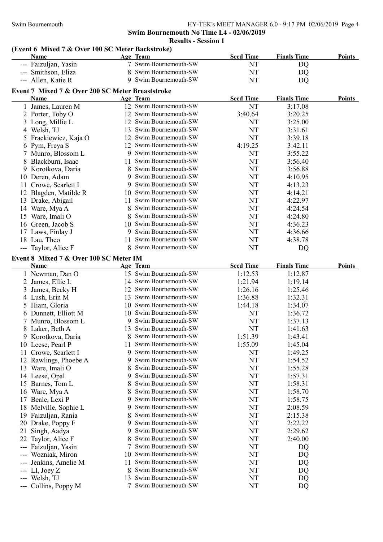### Swim Bournemouth HY-TEK's MEET MANAGER 6.0 - 9:17 PM 02/06/2019 Page 4 Swim Bournemouth No Time L4 - 02/06/2019 Results - Session 1

### (Event 6 Mixed 7 & Over 100 SC Meter Backstroke)

|       | Name                                             |         | Age Team               | <b>Seed Time</b> | <b>Finals Time</b> | <b>Points</b> |
|-------|--------------------------------------------------|---------|------------------------|------------------|--------------------|---------------|
|       | Faizuljan, Yasin                                 |         | 7 Swim Bournemouth-SW  | NT               | DQ                 |               |
|       | Smithson, Eliza                                  | 8       | Swim Bournemouth-SW    | <b>NT</b>        | DQ                 |               |
|       | --- Allen, Katie R                               |         | 9 Swim Bournemouth-SW  | <b>NT</b>        | DQ                 |               |
|       | Event 7 Mixed 7 & Over 200 SC Meter Breaststroke |         |                        |                  |                    |               |
|       | Name                                             |         | Age Team               | <b>Seed Time</b> | <b>Finals Time</b> | <b>Points</b> |
|       | 1 James, Lauren M                                |         | 12 Swim Bournemouth-SW | <b>NT</b>        | 3:17.08            |               |
|       | 2 Porter, Toby O                                 | 12      | Swim Bournemouth-SW    | 3:40.64          | 3:20.25            |               |
|       | 3 Long, Millie L                                 | 12      | Swim Bournemouth-SW    | NT               | 3:25.00            |               |
|       | 4 Welsh, TJ                                      | 13      | Swim Bournemouth-SW    | NT               | 3:31.61            |               |
|       | 5 Frackiewicz, Kaja O                            | 12      | Swim Bournemouth-SW    | <b>NT</b>        | 3:39.18            |               |
|       |                                                  | 12      | Swim Bournemouth-SW    | 4:19.25          | 3:42.11            |               |
|       | 6 Pym, Freya S                                   | 9       | Swim Bournemouth-SW    | <b>NT</b>        | 3:55.22            |               |
|       | 7 Munro, Blossom L                               |         | Swim Bournemouth-SW    | <b>NT</b>        |                    |               |
|       | 8 Blackburn, Isaac                               | 11<br>8 | Swim Bournemouth-SW    | NT               | 3:56.40            |               |
|       | 9 Korotkova, Daria                               | 9       | Swim Bournemouth-SW    |                  | 3:56.88            |               |
|       | 10 Deren, Adam                                   |         | Swim Bournemouth-SW    | NT<br>NT         | 4:10.95            |               |
|       | 11 Crowe, Scarlett I                             | 9       | Swim Bournemouth-SW    |                  | 4:13.23            |               |
|       | 12 Blagden, Matilde R                            | 10      | Swim Bournemouth-SW    | NT               | 4:14.21            |               |
|       | 13 Drake, Abigail                                | 11.     | Swim Bournemouth-SW    | NT               | 4:22.97            |               |
|       | 14 Ware, Mya A                                   | 8       | Swim Bournemouth-SW    | NT               | 4:24.54            |               |
|       | 15 Ware, Imali O                                 | 8       | Swim Bournemouth-SW    | NT               | 4:24.80            |               |
|       | 16 Green, Jacob S                                | 10      |                        | NT               | 4:36.23            |               |
|       | 17 Laws, Finlay J                                | 9       | Swim Bournemouth-SW    | NT               | 4:36.66            |               |
|       | 18 Lau, Theo                                     | 11      | Swim Bournemouth-SW    | NT               | 4:38.78            |               |
|       | --- Taylor, Alice F                              | 8       | Swim Bournemouth-SW    | NT               | DQ                 |               |
|       | Event 8 Mixed 7 & Over 100 SC Meter IM           |         |                        |                  |                    |               |
|       | Name                                             |         | Age Team               | <b>Seed Time</b> | <b>Finals Time</b> | <b>Points</b> |
|       | 1 Newman, Dan O                                  |         | 15 Swim Bournemouth-SW | 1:12.53          | 1:12.87            |               |
|       | 2 James, Ellie L                                 |         | 14 Swim Bournemouth-SW | 1:21.94          | 1:19.14            |               |
| 3     | James, Becky H                                   |         | 12 Swim Bournemouth-SW | 1:26.16          | 1:25.46            |               |
|       | 4 Lush, Erin M                                   | 13      | Swim Bournemouth-SW    | 1:36.88          | 1:32.31            |               |
|       | 5 Hiam, Gloria                                   |         | 10 Swim Bournemouth-SW | 1:44.18          | 1:34.07            |               |
|       | 6 Dunnett, Elliott M                             |         | 10 Swim Bournemouth-SW | NT               | 1:36.72            |               |
|       | 7 Munro, Blossom L                               |         | 9 Swim Bournemouth-SW  | NT               | 1:37.13            |               |
|       | 8 Laker, Beth A                                  | 13      | Swim Bournemouth-SW    | NT               | 1:41.63            |               |
|       | 9 Korotkova, Daria                               | 8       | Swim Bournemouth-SW    | 1:51.39          | 1:43.41            |               |
|       | 10 Leese, Pearl P                                | 11      | Swim Bournemouth-SW    | 1:55.09          | 1:45.04            |               |
|       | 11 Crowe, Scarlett I                             | 9       | Swim Bournemouth-SW    | NT               | 1:49.25            |               |
|       | 12 Rawlings, Phoebe A                            | 9       | Swim Bournemouth-SW    | NT               | 1:54.52            |               |
|       | 13 Ware, Imali O                                 | 8       | Swim Bournemouth-SW    | NT               | 1:55.28            |               |
|       | 14 Leese, Opal                                   | 9       | Swim Bournemouth-SW    | NT               | 1:57.31            |               |
|       | 15 Barnes, Tom L                                 | 8       | Swim Bournemouth-SW    | NT               | 1:58.31            |               |
|       | 16 Ware, Mya A                                   | 8       | Swim Bournemouth-SW    | NT               | 1:58.70            |               |
| 17    | Beale, Lexi P                                    | 9       | Swim Bournemouth-SW    | NT               | 1:58.75            |               |
| 18    | Melville, Sophie L                               | 9       | Swim Bournemouth-SW    | NT               | 2:08.59            |               |
|       | 19 Faizuljan, Rania                              | 8       | Swim Bournemouth-SW    | NT               | 2:15.38            |               |
|       | 20 Drake, Poppy F                                | 9       | Swim Bournemouth-SW    | NT               | 2:22.22            |               |
| 21    | Singh, Aadya                                     | 9       | Swim Bournemouth-SW    | NT               | 2:29.62            |               |
| 22    | Taylor, Alice F                                  | 8       | Swim Bournemouth-SW    | NT               | 2:40.00            |               |
|       | Faizuljan, Yasin                                 |         | Swim Bournemouth-SW    | NT               | DQ                 |               |
| $---$ | Wozniak, Miron                                   | 10      | Swim Bournemouth-SW    | NT               | DQ                 |               |
|       | Jenkins, Amelie M                                | 11      | Swim Bournemouth-SW    | NT               | DQ                 |               |
| ---   | LI, Joey Z                                       | 8       | Swim Bournemouth-SW    | NT               | DQ                 |               |
| ---   | Welsh, TJ                                        | 13      | Swim Bournemouth-SW    | NT               | DQ                 |               |
|       | --- Collins, Poppy M                             | 7       | Swim Bournemouth-SW    | NT               | DQ                 |               |